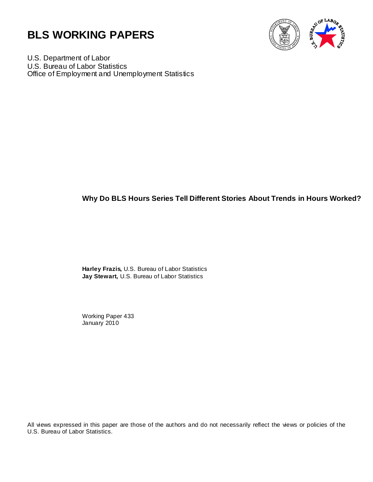



U.S. Department of Labor U.S. Bureau of Labor Statistics Office of Employment and Unemployment Statistics

## **Why Do BLS Hours Series Tell Different Stories About Trends in Hours Worked?**

**Harley Frazis,** U.S. Bureau of Labor Statistics **Jay Stewart,** U.S. Bureau of Labor Statistics

Working Paper 433 January 2010

All views expressed in this paper are those of the authors and do not necessarily reflect the views or policies of the U.S. Bureau of Labor Statistics.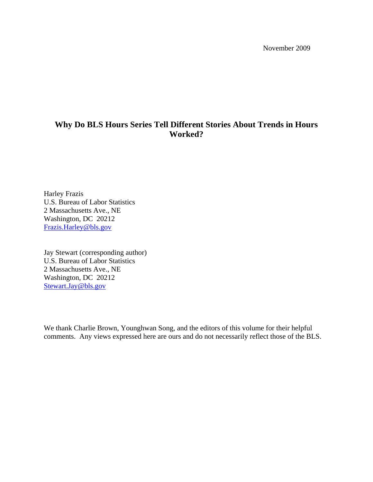November 2009

# **Why Do BLS Hours Series Tell Different Stories About Trends in Hours Worked?**

Harley Frazis U.S. Bureau of Labor Statistics 2 Massachusetts Ave., NE Washington, DC 20212 Frazis.Harley@bls.gov

Jay Stewart (corresponding author) U.S. Bureau of Labor Statistics 2 Massachusetts Ave., NE Washington, DC 20212 Stewart.Jay@bls.gov

We thank Charlie Brown, Younghwan Song, and the editors of this volume for their helpful comments. Any views expressed here are ours and do not necessarily reflect those of the BLS.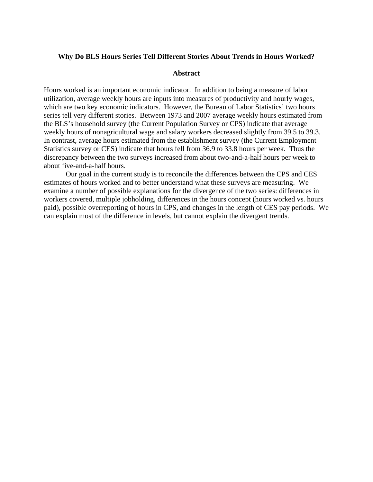#### **Why Do BLS Hours Series Tell Different Stories About Trends in Hours Worked?**

#### **Abstract**

Hours worked is an important economic indicator. In addition to being a measure of labor utilization, average weekly hours are inputs into measures of productivity and hourly wages, which are two key economic indicators. However, the Bureau of Labor Statistics' two hours series tell very different stories. Between 1973 and 2007 average weekly hours estimated from the BLS's household survey (the Current Population Survey or CPS) indicate that average weekly hours of nonagricultural wage and salary workers decreased slightly from 39.5 to 39.3. In contrast, average hours estimated from the establishment survey (the Current Employment Statistics survey or CES) indicate that hours fell from 36.9 to 33.8 hours per week. Thus the discrepancy between the two surveys increased from about two-and-a-half hours per week to about five-and-a-half hours.

 Our goal in the current study is to reconcile the differences between the CPS and CES estimates of hours worked and to better understand what these surveys are measuring. We examine a number of possible explanations for the divergence of the two series: differences in workers covered, multiple jobholding, differences in the hours concept (hours worked vs. hours paid), possible overreporting of hours in CPS, and changes in the length of CES pay periods. We can explain most of the difference in levels, but cannot explain the divergent trends.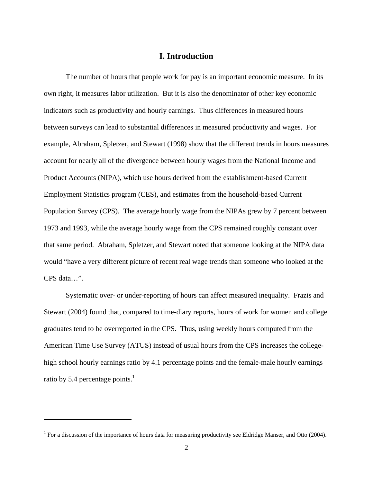## **I. Introduction**

The number of hours that people work for pay is an important economic measure. In its own right, it measures labor utilization. But it is also the denominator of other key economic indicators such as productivity and hourly earnings. Thus differences in measured hours between surveys can lead to substantial differences in measured productivity and wages. For example, Abraham, Spletzer, and Stewart (1998) show that the different trends in hours measures account for nearly all of the divergence between hourly wages from the National Income and Product Accounts (NIPA), which use hours derived from the establishment-based Current Employment Statistics program (CES), and estimates from the household-based Current Population Survey (CPS). The average hourly wage from the NIPAs grew by 7 percent between 1973 and 1993, while the average hourly wage from the CPS remained roughly constant over that same period. Abraham, Spletzer, and Stewart noted that someone looking at the NIPA data would "have a very different picture of recent real wage trends than someone who looked at the CPS data…".

Systematic over- or under-reporting of hours can affect measured inequality. Frazis and Stewart (2004) found that, compared to time-diary reports, hours of work for women and college graduates tend to be overreported in the CPS. Thus, using weekly hours computed from the American Time Use Survey (ATUS) instead of usual hours from the CPS increases the collegehigh school hourly earnings ratio by 4.1 percentage points and the female-male hourly earnings ratio by 5.4 percentage points.<sup>1</sup>

 $\overline{a}$ 

<sup>&</sup>lt;sup>1</sup> For a discussion of the importance of hours data for measuring productivity see Eldridge Manser, and Otto (2004).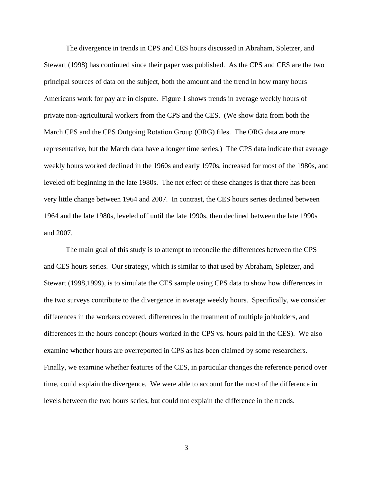The divergence in trends in CPS and CES hours discussed in Abraham, Spletzer, and Stewart (1998) has continued since their paper was published. As the CPS and CES are the two principal sources of data on the subject, both the amount and the trend in how many hours Americans work for pay are in dispute. Figure 1 shows trends in average weekly hours of private non-agricultural workers from the CPS and the CES. (We show data from both the March CPS and the CPS Outgoing Rotation Group (ORG) files. The ORG data are more representative, but the March data have a longer time series.) The CPS data indicate that average weekly hours worked declined in the 1960s and early 1970s, increased for most of the 1980s, and leveled off beginning in the late 1980s. The net effect of these changes is that there has been very little change between 1964 and 2007. In contrast, the CES hours series declined between 1964 and the late 1980s, leveled off until the late 1990s, then declined between the late 1990s and 2007.

The main goal of this study is to attempt to reconcile the differences between the CPS and CES hours series. Our strategy, which is similar to that used by Abraham, Spletzer, and Stewart (1998,1999), is to simulate the CES sample using CPS data to show how differences in the two surveys contribute to the divergence in average weekly hours. Specifically, we consider differences in the workers covered, differences in the treatment of multiple jobholders, and differences in the hours concept (hours worked in the CPS vs. hours paid in the CES). We also examine whether hours are overreported in CPS as has been claimed by some researchers. Finally, we examine whether features of the CES, in particular changes the reference period over time, could explain the divergence. We were able to account for the most of the difference in levels between the two hours series, but could not explain the difference in the trends.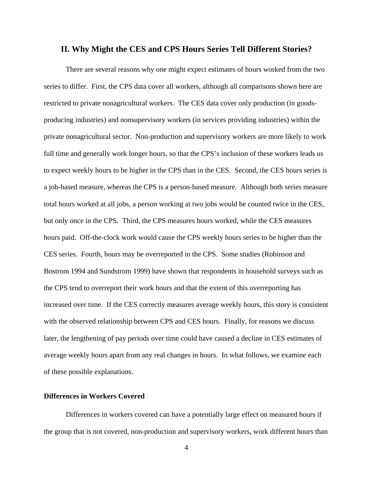#### **II. Why Might the CES and CPS Hours Series Tell Different Stories?**

 There are several reasons why one might expect estimates of hours worked from the two series to differ. First, the CPS data cover all workers, although all comparisons shown here are restricted to private nonagricultural workers. The CES data cover only production (in goodsproducing industries) and nonsupervisory workers (in services providing industries) within the private nonagricultural sector. Non-production and supervisory workers are more likely to work full time and generally work longer hours, so that the CPS's inclusion of these workers leads us to expect weekly hours to be higher in the CPS than in the CES. Second, the CES hours series is a job-based measure, whereas the CPS is a person-based measure. Although both series measure total hours worked at all jobs, a person working at two jobs would be counted twice in the CES, but only once in the CPS. Third, the CPS measures hours worked, while the CES measures hours paid. Off-the-clock work would cause the CPS weekly hours series to be higher than the CES series. Fourth, hours may be overreported in the CPS. Some studies (Robinson and Bostrom 1994 and Sundstrom 1999) have shown that respondents in household surveys such as the CPS tend to overreport their work hours and that the extent of this overreporting has increased over time. If the CES correctly measures average weekly hours, this story is consistent with the observed relationship between CPS and CES hours. Finally, for reasons we discuss later, the lengthening of pay periods over time could have caused a decline in CES estimates of average weekly hours apart from any real changes in hours. In what follows, we examine each of these possible explanations.

### **Differences in Workers Covered**

Differences in workers covered can have a potentially large effect on measured hours if the group that is not covered, non-production and supervisory workers, work different hours than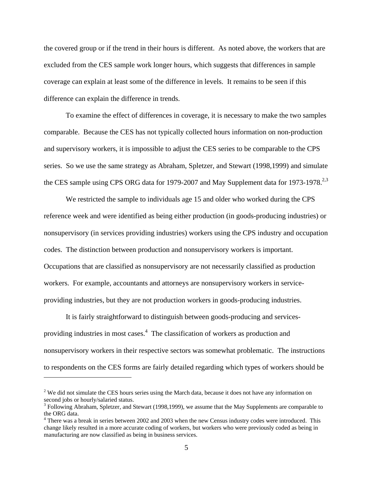the covered group or if the trend in their hours is different. As noted above, the workers that are excluded from the CES sample work longer hours, which suggests that differences in sample coverage can explain at least some of the difference in levels. It remains to be seen if this difference can explain the difference in trends.

To examine the effect of differences in coverage, it is necessary to make the two samples comparable. Because the CES has not typically collected hours information on non-production and supervisory workers, it is impossible to adjust the CES series to be comparable to the CPS series. So we use the same strategy as Abraham, Spletzer, and Stewart (1998,1999) and simulate the CES sample using CPS ORG data for 1979-2007 and May Supplement data for 1973-1978.<sup>2,3</sup>

We restricted the sample to individuals age 15 and older who worked during the CPS reference week and were identified as being either production (in goods-producing industries) or nonsupervisory (in services providing industries) workers using the CPS industry and occupation codes. The distinction between production and nonsupervisory workers is important. Occupations that are classified as nonsupervisory are not necessarily classified as production workers. For example, accountants and attorneys are nonsupervisory workers in serviceproviding industries, but they are not production workers in goods-producing industries.

It is fairly straightforward to distinguish between goods-producing and servicesproviding industries in most cases.<sup>4</sup> The classification of workers as production and nonsupervisory workers in their respective sectors was somewhat problematic. The instructions to respondents on the CES forms are fairly detailed regarding which types of workers should be

 $2^2$  We did not simulate the CES hours series using the March data, because it does not have any information on second jobs or hourly/salaried status.

<sup>&</sup>lt;sup>3</sup> Following Abraham, Spletzer, and Stewart (1998,1999), we assume that the May Supplements are comparable to the ORG data.

<sup>&</sup>lt;sup>4</sup> There was a break in series between 2002 and 2003 when the new Census industry codes were introduced. This change likely resulted in a more accurate coding of workers, but workers who were previously coded as being in manufacturing are now classified as being in business services.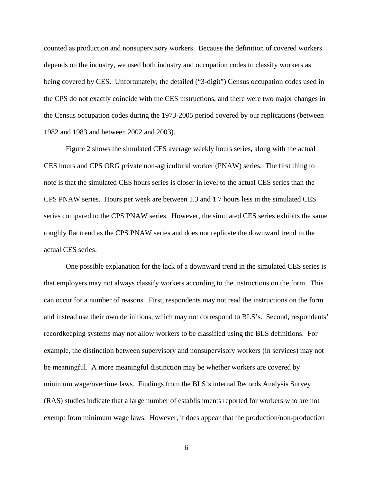counted as production and nonsupervisory workers. Because the definition of covered workers depends on the industry, we used both industry and occupation codes to classify workers as being covered by CES. Unfortunately, the detailed ("3-digit") Census occupation codes used in the CPS do not exactly coincide with the CES instructions, and there were two major changes in the Census occupation codes during the 1973-2005 period covered by our replications (between 1982 and 1983 and between 2002 and 2003).

Figure 2 shows the simulated CES average weekly hours series, along with the actual CES hours and CPS ORG private non-agricultural worker (PNAW) series. The first thing to note is that the simulated CES hours series is closer in level to the actual CES series than the CPS PNAW series. Hours per week are between 1.3 and 1.7 hours less in the simulated CES series compared to the CPS PNAW series. However, the simulated CES series exhibits the same roughly flat trend as the CPS PNAW series and does not replicate the downward trend in the actual CES series.

One possible explanation for the lack of a downward trend in the simulated CES series is that employers may not always classify workers according to the instructions on the form. This can occur for a number of reasons. First, respondents may not read the instructions on the form and instead use their own definitions, which may not correspond to BLS's. Second, respondents' recordkeeping systems may not allow workers to be classified using the BLS definitions. For example, the distinction between supervisory and nonsupervisory workers (in services) may not be meaningful. A more meaningful distinction may be whether workers are covered by minimum wage/overtime laws. Findings from the BLS's internal Records Analysis Survey (RAS) studies indicate that a large number of establishments reported for workers who are not exempt from minimum wage laws. However, it does appear that the production/non-production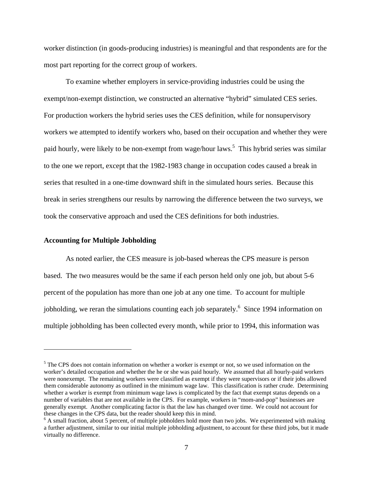worker distinction (in goods-producing industries) is meaningful and that respondents are for the most part reporting for the correct group of workers.

To examine whether employers in service-providing industries could be using the exempt/non-exempt distinction, we constructed an alternative "hybrid" simulated CES series. For production workers the hybrid series uses the CES definition, while for nonsupervisory workers we attempted to identify workers who, based on their occupation and whether they were paid hourly, were likely to be non-exempt from wage/hour laws.<sup>5</sup> This hybrid series was similar to the one we report, except that the 1982-1983 change in occupation codes caused a break in series that resulted in a one-time downward shift in the simulated hours series. Because this break in series strengthens our results by narrowing the difference between the two surveys, we took the conservative approach and used the CES definitions for both industries.

#### **Accounting for Multiple Jobholding**

 $\overline{a}$ 

As noted earlier, the CES measure is job-based whereas the CPS measure is person based. The two measures would be the same if each person held only one job, but about 5-6 percent of the population has more than one job at any one time. To account for multiple jobholding, we reran the simulations counting each job separately.<sup>6</sup> Since 1994 information on multiple jobholding has been collected every month, while prior to 1994, this information was

<sup>&</sup>lt;sup>5</sup> The CPS does not contain information on whether a worker is exempt or not, so we used information on the worker's detailed occupation and whether the he or she was paid hourly. We assumed that all hourly-paid workers were nonexempt. The remaining workers were classified as exempt if they were supervisors or if their jobs allowed them considerable autonomy as outlined in the minimum wage law. This classification is rather crude. Determining whether a worker is exempt from minimum wage laws is complicated by the fact that exempt status depends on a number of variables that are not available in the CPS. For example, workers in "mom-and-pop" businesses are generally exempt. Another complicating factor is that the law has changed over time. We could not account for these changes in the CPS data, but the reader should keep this in mind.

<sup>&</sup>lt;sup>6</sup> A small fraction, about 5 percent, of multiple jobholders hold more than two jobs. We experimented with making a further adjustment, similar to our initial multiple jobholding adjustment, to account for these third jobs, but it made virtually no difference.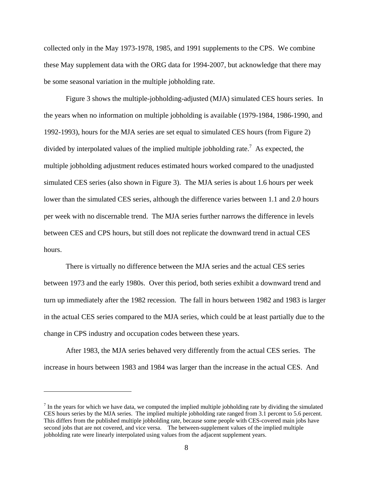collected only in the May 1973-1978, 1985, and 1991 supplements to the CPS. We combine these May supplement data with the ORG data for 1994-2007, but acknowledge that there may be some seasonal variation in the multiple jobholding rate.

Figure 3 shows the multiple-jobholding-adjusted (MJA) simulated CES hours series. In the years when no information on multiple jobholding is available (1979-1984, 1986-1990, and 1992-1993), hours for the MJA series are set equal to simulated CES hours (from Figure 2) divided by interpolated values of the implied multiple jobholding rate.<sup>7</sup> As expected, the multiple jobholding adjustment reduces estimated hours worked compared to the unadjusted simulated CES series (also shown in Figure 3). The MJA series is about 1.6 hours per week lower than the simulated CES series, although the difference varies between 1.1 and 2.0 hours per week with no discernable trend. The MJA series further narrows the difference in levels between CES and CPS hours, but still does not replicate the downward trend in actual CES hours.

There is virtually no difference between the MJA series and the actual CES series between 1973 and the early 1980s. Over this period, both series exhibit a downward trend and turn up immediately after the 1982 recession. The fall in hours between 1982 and 1983 is larger in the actual CES series compared to the MJA series, which could be at least partially due to the change in CPS industry and occupation codes between these years.

After 1983, the MJA series behaved very differently from the actual CES series. The increase in hours between 1983 and 1984 was larger than the increase in the actual CES. And

 $<sup>7</sup>$  In the years for which we have data, we computed the implied multiple jobholding rate by dividing the simulated</sup> CES hours series by the MJA series. The implied multiple jobholding rate ranged from 3.1 percent to 5.6 percent. This differs from the published multiple jobholding rate, because some people with CES-covered main jobs have second jobs that are not covered, and vice versa. The between-supplement values of the implied multiple jobholding rate were linearly interpolated using values from the adjacent supplement years.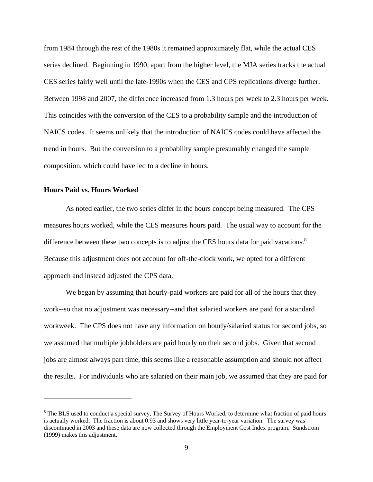from 1984 through the rest of the 1980s it remained approximately flat, while the actual CES series declined. Beginning in 1990, apart from the higher level, the MJA series tracks the actual CES series fairly well until the late-1990s when the CES and CPS replications diverge further. Between 1998 and 2007, the difference increased from 1.3 hours per week to 2.3 hours per week. This coincides with the conversion of the CES to a probability sample and the introduction of NAICS codes. It seems unlikely that the introduction of NAICS codes could have affected the trend in hours. But the conversion to a probability sample presumably changed the sample composition, which could have led to a decline in hours.

#### **Hours Paid vs. Hours Worked**

1

 As noted earlier, the two series differ in the hours concept being measured. The CPS measures hours worked, while the CES measures hours paid. The usual way to account for the difference between these two concepts is to adjust the CES hours data for paid vacations. $8$ Because this adjustment does not account for off-the-clock work, we opted for a different approach and instead adjusted the CPS data.

We began by assuming that hourly-paid workers are paid for all of the hours that they work--so that no adjustment was necessary--and that salaried workers are paid for a standard workweek. The CPS does not have any information on hourly/salaried status for second jobs, so we assumed that multiple jobholders are paid hourly on their second jobs. Given that second jobs are almost always part time, this seems like a reasonable assumption and should not affect the results. For individuals who are salaried on their main job, we assumed that they are paid for

 $8$  The BLS used to conduct a special survey, The Survey of Hours Worked, to determine what fraction of paid hours is actually worked. The fraction is about 0.93 and shows very little year-to-year variation. The survey was discontinued in 2003 and these data are now collected through the Employment Cost Index program. Sundstrom (1999) makes this adjustment.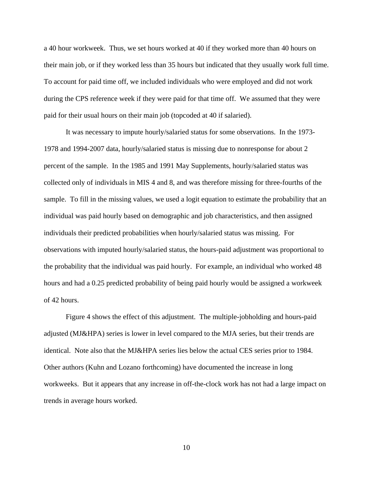a 40 hour workweek. Thus, we set hours worked at 40 if they worked more than 40 hours on their main job, or if they worked less than 35 hours but indicated that they usually work full time. To account for paid time off, we included individuals who were employed and did not work during the CPS reference week if they were paid for that time off. We assumed that they were paid for their usual hours on their main job (topcoded at 40 if salaried).

It was necessary to impute hourly/salaried status for some observations. In the 1973- 1978 and 1994-2007 data, hourly/salaried status is missing due to nonresponse for about 2 percent of the sample. In the 1985 and 1991 May Supplements, hourly/salaried status was collected only of individuals in MIS 4 and 8, and was therefore missing for three-fourths of the sample. To fill in the missing values, we used a logit equation to estimate the probability that an individual was paid hourly based on demographic and job characteristics, and then assigned individuals their predicted probabilities when hourly/salaried status was missing. For observations with imputed hourly/salaried status, the hours-paid adjustment was proportional to the probability that the individual was paid hourly. For example, an individual who worked 48 hours and had a 0.25 predicted probability of being paid hourly would be assigned a workweek of 42 hours.

 Figure 4 shows the effect of this adjustment. The multiple-jobholding and hours-paid adjusted (MJ&HPA) series is lower in level compared to the MJA series, but their trends are identical. Note also that the MJ&HPA series lies below the actual CES series prior to 1984. Other authors (Kuhn and Lozano forthcoming) have documented the increase in long workweeks. But it appears that any increase in off-the-clock work has not had a large impact on trends in average hours worked.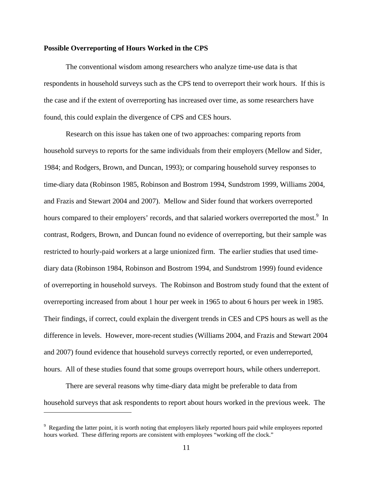#### **Possible Overreporting of Hours Worked in the CPS**

The conventional wisdom among researchers who analyze time-use data is that respondents in household surveys such as the CPS tend to overreport their work hours. If this is the case and if the extent of overreporting has increased over time, as some researchers have found, this could explain the divergence of CPS and CES hours.

Research on this issue has taken one of two approaches: comparing reports from household surveys to reports for the same individuals from their employers (Mellow and Sider, 1984; and Rodgers, Brown, and Duncan, 1993); or comparing household survey responses to time-diary data (Robinson 1985, Robinson and Bostrom 1994, Sundstrom 1999, Williams 2004, and Frazis and Stewart 2004 and 2007). Mellow and Sider found that workers overreported hours compared to their employers' records, and that salaried workers overreported the most.<sup>9</sup> In contrast, Rodgers, Brown, and Duncan found no evidence of overreporting, but their sample was restricted to hourly-paid workers at a large unionized firm. The earlier studies that used timediary data (Robinson 1984, Robinson and Bostrom 1994, and Sundstrom 1999) found evidence of overreporting in household surveys. The Robinson and Bostrom study found that the extent of overreporting increased from about 1 hour per week in 1965 to about 6 hours per week in 1985. Their findings, if correct, could explain the divergent trends in CES and CPS hours as well as the difference in levels. However, more-recent studies (Williams 2004, and Frazis and Stewart 2004 and 2007) found evidence that household surveys correctly reported, or even underreported, hours. All of these studies found that some groups overreport hours, while others underreport.

There are several reasons why time-diary data might be preferable to data from household surveys that ask respondents to report about hours worked in the previous week. The

<sup>&</sup>lt;sup>9</sup> Regarding the latter point, it is worth noting that employers likely reported hours paid while employees reported hours worked. These differing reports are consistent with employees "working off the clock."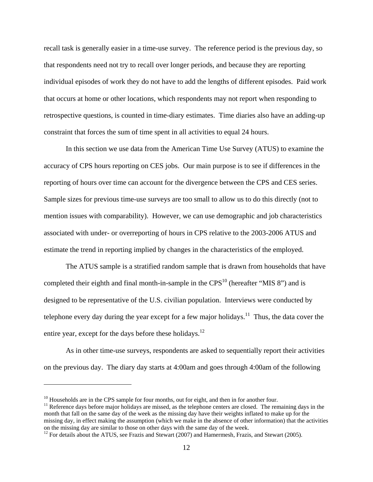recall task is generally easier in a time-use survey. The reference period is the previous day, so that respondents need not try to recall over longer periods, and because they are reporting individual episodes of work they do not have to add the lengths of different episodes. Paid work that occurs at home or other locations, which respondents may not report when responding to retrospective questions, is counted in time-diary estimates. Time diaries also have an adding-up constraint that forces the sum of time spent in all activities to equal 24 hours.

In this section we use data from the American Time Use Survey (ATUS) to examine the accuracy of CPS hours reporting on CES jobs. Our main purpose is to see if differences in the reporting of hours over time can account for the divergence between the CPS and CES series. Sample sizes for previous time-use surveys are too small to allow us to do this directly (not to mention issues with comparability). However, we can use demographic and job characteristics associated with under- or overreporting of hours in CPS relative to the 2003-2006 ATUS and estimate the trend in reporting implied by changes in the characteristics of the employed.

The ATUS sample is a stratified random sample that is drawn from households that have completed their eighth and final month-in-sample in the  $CPS<sup>10</sup>$  (hereafter "MIS 8") and is designed to be representative of the U.S. civilian population. Interviews were conducted by telephone every day during the year except for a few major holidays.<sup>11</sup> Thus, the data cover the entire year, except for the days before these holidays.<sup>12</sup>

As in other time-use surveys, respondents are asked to sequentially report their activities on the previous day. The diary day starts at 4:00am and goes through 4:00am of the following

 $\overline{a}$ 

 $10$  Households are in the CPS sample for four months, out for eight, and then in for another four.

 $11$  Reference days before major holidays are missed, as the telephone centers are closed. The remaining days in the month that fall on the same day of the week as the missing day have their weights inflated to make up for the missing day, in effect making the assumption (which we make in the absence of other information) that the activities on the missing day are similar to those on other days with the same day of the week.

<sup>&</sup>lt;sup>12</sup> For details about the ATUS, see Frazis and Stewart (2007) and Hamermesh, Frazis, and Stewart (2005).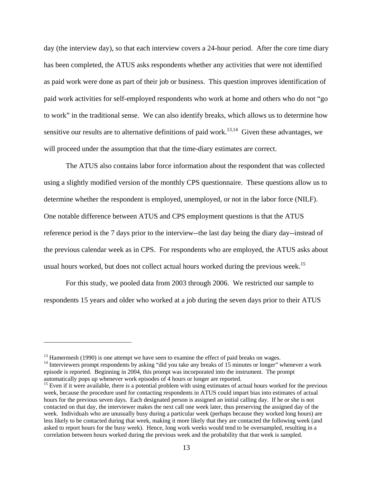day (the interview day), so that each interview covers a 24-hour period. After the core time diary has been completed, the ATUS asks respondents whether any activities that were not identified as paid work were done as part of their job or business. This question improves identification of paid work activities for self-employed respondents who work at home and others who do not "go to work" in the traditional sense. We can also identify breaks, which allows us to determine how sensitive our results are to alternative definitions of paid work.<sup>13,14</sup> Given these advantages, we will proceed under the assumption that that the time-diary estimates are correct.

The ATUS also contains labor force information about the respondent that was collected using a slightly modified version of the monthly CPS questionnaire. These questions allow us to determine whether the respondent is employed, unemployed, or not in the labor force (NILF). One notable difference between ATUS and CPS employment questions is that the ATUS reference period is the 7 days prior to the interview--the last day being the diary day--instead of the previous calendar week as in CPS. For respondents who are employed, the ATUS asks about usual hours worked, but does not collect actual hours worked during the previous week.<sup>15</sup>

For this study, we pooled data from 2003 through 2006. We restricted our sample to respondents 15 years and older who worked at a job during the seven days prior to their ATUS

<u>.</u>

<sup>&</sup>lt;sup>13</sup> Hamermesh (1990) is one attempt we have seen to examine the effect of paid breaks on wages.<br><sup>14</sup> Interviewers prompt respondents by asking "did you take any breaks of 15 minutes or longer" whenever a work episode is reported. Beginning in 2004, this prompt was incorporated into the instrument. The prompt

<sup>&</sup>lt;sup>15</sup> Even if it were available, there is a potential problem with using estimates of actual hours worked for the previous week, because the procedure used for contacting respondents in ATUS could impart bias into estimates of actual hours for the previous seven days. Each designated person is assigned an initial calling day. If he or she is not contacted on that day, the interviewer makes the next call one week later, thus preserving the assigned day of the week. Individuals who are unusually busy during a particular week (perhaps because they worked long hours) are less likely to be contacted during that week, making it more likely that they are contacted the following week (and asked to report hours for the busy week). Hence, long work weeks would tend to be oversampled, resulting in a correlation between hours worked during the previous week and the probability that that week is sampled.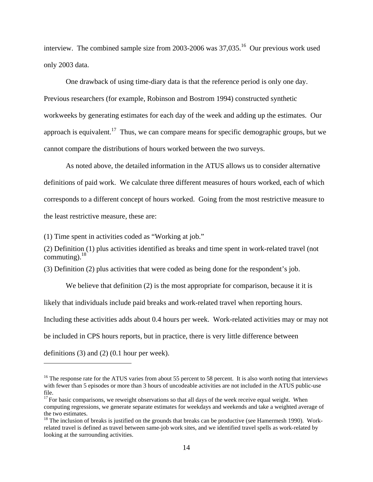interview. The combined sample size from 2003-2006 was 37,035.<sup>16</sup> Our previous work used only 2003 data.

One drawback of using time-diary data is that the reference period is only one day. Previous researchers (for example, Robinson and Bostrom 1994) constructed synthetic workweeks by generating estimates for each day of the week and adding up the estimates. Our approach is equivalent.<sup>17</sup> Thus, we can compare means for specific demographic groups, but we cannot compare the distributions of hours worked between the two surveys.

As noted above, the detailed information in the ATUS allows us to consider alternative definitions of paid work. We calculate three different measures of hours worked, each of which corresponds to a different concept of hours worked. Going from the most restrictive measure to the least restrictive measure, these are:

(1) Time spent in activities coded as "Working at job."

 $\overline{a}$ 

(2) Definition (1) plus activities identified as breaks and time spent in work-related travel (not commuting). $18$ 

(3) Definition (2) plus activities that were coded as being done for the respondent's job.

We believe that definition (2) is the most appropriate for comparison, because it it is likely that individuals include paid breaks and work-related travel when reporting hours. Including these activities adds about 0.4 hours per week. Work-related activities may or may not be included in CPS hours reports, but in practice, there is very little difference between definitions (3) and (2) (0.1 hour per week).

 $16$  The response rate for the ATUS varies from about 55 percent to 58 percent. It is also worth noting that interviews with fewer than 5 episodes or more than 3 hours of uncodeable activities are not included in the ATUS public-use file.

 $17$  For basic comparisons, we reweight observations so that all days of the week receive equal weight. When computing regressions, we generate separate estimates for weekdays and weekends and take a weighted average of the two estimates.

 $18$  The inclusion of breaks is justified on the grounds that breaks can be productive (see Hamermesh 1990). Workrelated travel is defined as travel between same-job work sites, and we identified travel spells as work-related by looking at the surrounding activities.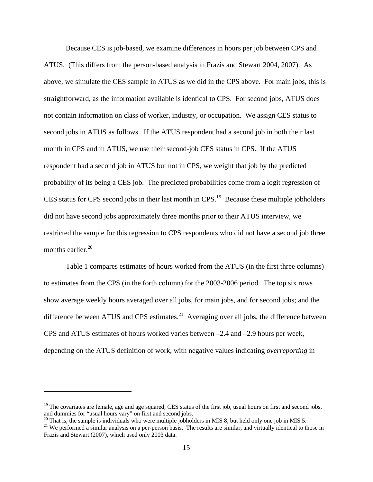Because CES is job-based, we examine differences in hours per job between CPS and ATUS. (This differs from the person-based analysis in Frazis and Stewart 2004, 2007). As above, we simulate the CES sample in ATUS as we did in the CPS above. For main jobs, this is straightforward, as the information available is identical to CPS. For second jobs, ATUS does not contain information on class of worker, industry, or occupation. We assign CES status to second jobs in ATUS as follows. If the ATUS respondent had a second job in both their last month in CPS and in ATUS, we use their second-job CES status in CPS. If the ATUS respondent had a second job in ATUS but not in CPS, we weight that job by the predicted probability of its being a CES job. The predicted probabilities come from a logit regression of CES status for CPS second jobs in their last month in CPS.<sup>19</sup> Because these multiple jobholders did not have second jobs approximately three months prior to their ATUS interview, we restricted the sample for this regression to CPS respondents who did not have a second job three months earlier. $20$ 

Table 1 compares estimates of hours worked from the ATUS (in the first three columns) to estimates from the CPS (in the forth column) for the 2003-2006 period. The top six rows show average weekly hours averaged over all jobs, for main jobs, and for second jobs; and the difference between ATUS and CPS estimates. $^{21}$  Averaging over all jobs, the difference between CPS and ATUS estimates of hours worked varies between –2.4 and –2.9 hours per week, depending on the ATUS definition of work, with negative values indicating *overreporting* in

 $\overline{a}$ 

 $19$  The covariates are female, age and age squared, CES status of the first job, usual hours on first and second jobs, and dummies for "usual hours vary" on first and second jobs.

<sup>&</sup>lt;sup>20</sup> That is, the sample is individuals who were multiple jobholders in MIS 8, but held only one job in MIS 5.

<sup>&</sup>lt;sup>21</sup> We performed a similar analysis on a per-person basis. The results are similar, and virtually identical to those in Frazis and Stewart (2007), which used only 2003 data.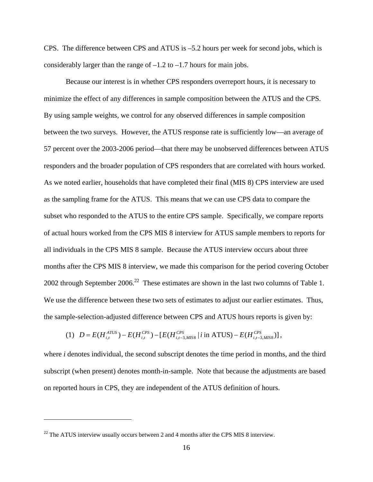CPS. The difference between CPS and ATUS is –5.2 hours per week for second jobs, which is considerably larger than the range of  $-1.2$  to  $-1.7$  hours for main jobs.

Because our interest is in whether CPS responders overreport hours, it is necessary to minimize the effect of any differences in sample composition between the ATUS and the CPS. By using sample weights, we control for any observed differences in sample composition between the two surveys. However, the ATUS response rate is sufficiently low—an average of 57 percent over the 2003-2006 period—that there may be unobserved differences between ATUS responders and the broader population of CPS responders that are correlated with hours worked. As we noted earlier, households that have completed their final (MIS 8) CPS interview are used as the sampling frame for the ATUS. This means that we can use CPS data to compare the subset who responded to the ATUS to the entire CPS sample. Specifically, we compare reports of actual hours worked from the CPS MIS 8 interview for ATUS sample members to reports for all individuals in the CPS MIS 8 sample. Because the ATUS interview occurs about three months after the CPS MIS 8 interview, we made this comparison for the period covering October 2002 through September  $2006<sup>22</sup>$  These estimates are shown in the last two columns of Table 1. We use the difference between these two sets of estimates to adjust our earlier estimates. Thus, the sample-selection-adjusted difference between CPS and ATUS hours reports is given by:

(1) 
$$
D = E(H_{i,t}^{ATUS}) - E(H_{i,t}^{CPS}) - [E(H_{i,t-3,MIS8}^{CPS} | i \text{ in ATUS}) - E(H_{i,t-3,MIS8}^{CPS})],
$$

where *i* denotes individual, the second subscript denotes the time period in months, and the third subscript (when present) denotes month-in-sample. Note that because the adjustments are based on reported hours in CPS, they are independent of the ATUS definition of hours.

 $\overline{a}$ 

 $22$  The ATUS interview usually occurs between 2 and 4 months after the CPS MIS 8 interview.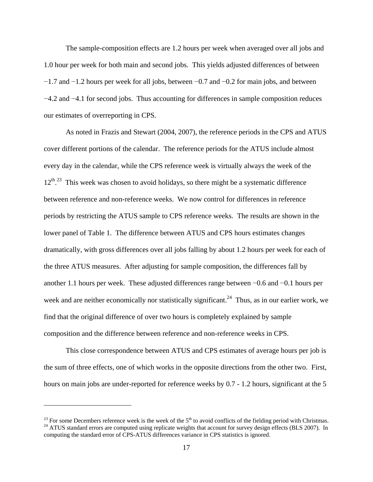The sample-composition effects are 1.2 hours per week when averaged over all jobs and 1.0 hour per week for both main and second jobs. This yields adjusted differences of between −1.7 and −1.2 hours per week for all jobs, between −0.7 and −0.2 for main jobs, and between −4.2 and −4.1 for second jobs. Thus accounting for differences in sample composition reduces our estimates of overreporting in CPS.

As noted in Frazis and Stewart (2004, 2007), the reference periods in the CPS and ATUS cover different portions of the calendar. The reference periods for the ATUS include almost every day in the calendar, while the CPS reference week is virtually always the week of the  $12<sup>th</sup>$ .<sup>23</sup> This week was chosen to avoid holidays, so there might be a systematic difference between reference and non-reference weeks. We now control for differences in reference periods by restricting the ATUS sample to CPS reference weeks. The results are shown in the lower panel of Table 1. The difference between ATUS and CPS hours estimates changes dramatically, with gross differences over all jobs falling by about 1.2 hours per week for each of the three ATUS measures. After adjusting for sample composition, the differences fall by another 1.1 hours per week. These adjusted differences range between −0.6 and −0.1 hours per week and are neither economically nor statistically significant.<sup>24</sup> Thus, as in our earlier work, we find that the original difference of over two hours is completely explained by sample composition and the difference between reference and non-reference weeks in CPS.

This close correspondence between ATUS and CPS estimates of average hours per job is the sum of three effects, one of which works in the opposite directions from the other two. First, hours on main jobs are under-reported for reference weeks by 0.7 - 1.2 hours, significant at the 5

<u>.</u>

<sup>&</sup>lt;sup>23</sup> For some Decembers reference week is the week of the  $5<sup>th</sup>$  to avoid conflicts of the fielding period with Christmas.<br><sup>24</sup> ATUS standard errors are computed using replicate weights that account for survey design computing the standard error of CPS-ATUS differences variance in CPS statistics is ignored.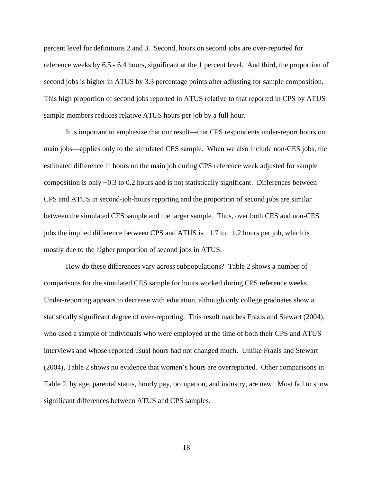percent level for definitions 2 and 3. Second, hours on second jobs are over-reported for reference weeks by 6.5 - 6.4 hours, significant at the 1 percent level. And third, the proportion of second jobs is higher in ATUS by 3.3 percentage points after adjusting for sample composition. This high proportion of second jobs reported in ATUS relative to that reported in CPS by ATUS sample members reduces relative ATUS hours per job by a full hour.

It is important to emphasize that our result—that CPS respondents under-report hours on main jobs—applies only to the simulated CES sample. When we also include non-CES jobs, the estimated difference in hours on the main job during CPS reference week adjusted for sample composition is only −0.3 to 0.2 hours and is not statistically significant. Differences between CPS and ATUS in second-job-hours reporting and the proportion of second jobs are similar between the simulated CES sample and the larger sample. Thus, over both CES and non-CES jobs the implied difference between CPS and ATUS is −1.7 to −1.2 hours per job, which is mostly due to the higher proportion of second jobs in ATUS.

How do these differences vary across subpopulations? Table 2 shows a number of comparisons for the simulated CES sample for hours worked during CPS reference weeks. Under-reporting appears to decrease with education, although only college graduates show a statistically significant degree of over-reporting. This result matches Frazis and Stewart (2004), who used a sample of individuals who were employed at the time of both their CPS and ATUS interviews and whose reported usual hours had not changed much. Unlike Frazis and Stewart (2004), Table 2 shows no evidence that women's hours are overreported. Other comparisons in Table 2, by age, parental status, hourly pay, occupation, and industry, are new. Most fail to show significant differences between ATUS and CPS samples.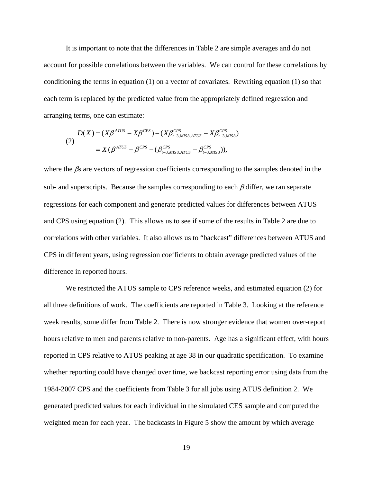It is important to note that the differences in Table 2 are simple averages and do not account for possible correlations between the variables. We can control for these correlations by conditioning the terms in equation (1) on a vector of covariates. Rewriting equation (1) so that each term is replaced by the predicted value from the appropriately defined regression and arranging terms, one can estimate:

$$
D(X) = (X\beta^{ATUS} - X\beta^{CPS}) - (X\beta_{t-3,MIS8,ATUS}^{CPS} - X\beta_{t-3,MIS8}^{CPS})
$$
  
=  $X(\beta^{ATUS} - \beta^{CPS} - (\beta_{t-3,MIS8,ATUS}^{CPS} - \beta_{t-3,MIS8}^{CPS}))$ ,

where the  $\beta$ s are vectors of regression coefficients corresponding to the samples denoted in the sub- and superscripts. Because the samples corresponding to each  $\beta$  differ, we ran separate regressions for each component and generate predicted values for differences between ATUS and CPS using equation (2). This allows us to see if some of the results in Table 2 are due to correlations with other variables. It also allows us to "backcast" differences between ATUS and CPS in different years, using regression coefficients to obtain average predicted values of the difference in reported hours.

We restricted the ATUS sample to CPS reference weeks, and estimated equation (2) for all three definitions of work. The coefficients are reported in Table 3. Looking at the reference week results, some differ from Table 2. There is now stronger evidence that women over-report hours relative to men and parents relative to non-parents. Age has a significant effect, with hours reported in CPS relative to ATUS peaking at age 38 in our quadratic specification. To examine whether reporting could have changed over time, we backcast reporting error using data from the 1984-2007 CPS and the coefficients from Table 3 for all jobs using ATUS definition 2. We generated predicted values for each individual in the simulated CES sample and computed the weighted mean for each year. The backcasts in Figure 5 show the amount by which average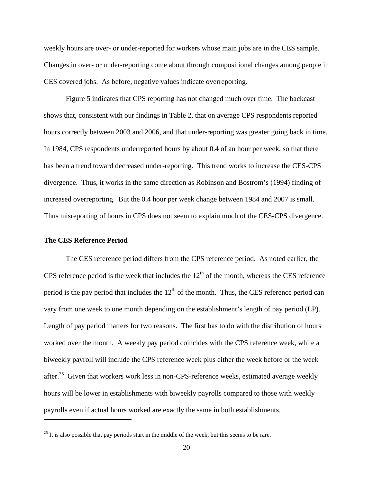weekly hours are over- or under-reported for workers whose main jobs are in the CES sample. Changes in over- or under-reporting come about through compositional changes among people in CES covered jobs. As before, negative values indicate overreporting.

Figure 5 indicates that CPS reporting has not changed much over time. The backcast shows that, consistent with our findings in Table 2, that on average CPS respondents reported hours correctly between 2003 and 2006, and that under-reporting was greater going back in time. In 1984, CPS respondents underreported hours by about 0.4 of an hour per week, so that there has been a trend toward decreased under-reporting. This trend works to increase the CES-CPS divergence. Thus, it works in the same direction as Robinson and Bostrom's (1994) finding of increased overreporting. But the 0.4 hour per week change between 1984 and 2007 is small. Thus misreporting of hours in CPS does not seem to explain much of the CES-CPS divergence.

#### **The CES Reference Period**

 $\overline{a}$ 

The CES reference period differs from the CPS reference period. As noted earlier, the CPS reference period is the week that includes the  $12<sup>th</sup>$  of the month, whereas the CES reference period is the pay period that includes the  $12<sup>th</sup>$  of the month. Thus, the CES reference period can vary from one week to one month depending on the establishment's length of pay period (LP). Length of pay period matters for two reasons. The first has to do with the distribution of hours worked over the month. A weekly pay period coincides with the CPS reference week, while a biweekly payroll will include the CPS reference week plus either the week before or the week after.25 Given that workers work less in non-CPS-reference weeks, estimated average weekly hours will be lower in establishments with biweekly payrolls compared to those with weekly payrolls even if actual hours worked are exactly the same in both establishments.

 $25$  It is also possible that pay periods start in the middle of the week, but this seems to be rare.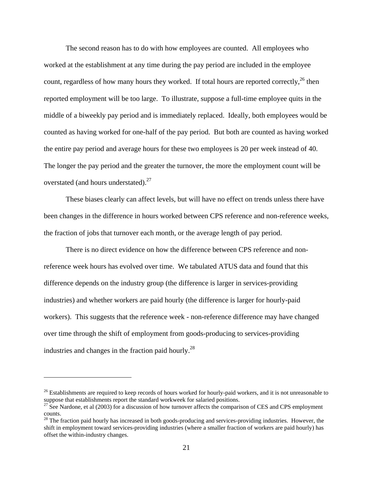The second reason has to do with how employees are counted. All employees who worked at the establishment at any time during the pay period are included in the employee count, regardless of how many hours they worked. If total hours are reported correctly,  $^{26}$  then reported employment will be too large. To illustrate, suppose a full-time employee quits in the middle of a biweekly pay period and is immediately replaced. Ideally, both employees would be counted as having worked for one-half of the pay period. But both are counted as having worked the entire pay period and average hours for these two employees is 20 per week instead of 40. The longer the pay period and the greater the turnover, the more the employment count will be overstated (and hours understated).<sup>27</sup>

These biases clearly can affect levels, but will have no effect on trends unless there have been changes in the difference in hours worked between CPS reference and non-reference weeks, the fraction of jobs that turnover each month, or the average length of pay period.

There is no direct evidence on how the difference between CPS reference and nonreference week hours has evolved over time. We tabulated ATUS data and found that this difference depends on the industry group (the difference is larger in services-providing industries) and whether workers are paid hourly (the difference is larger for hourly-paid workers). This suggests that the reference week - non-reference difference may have changed over time through the shift of employment from goods-producing to services-providing industries and changes in the fraction paid hourly.<sup>28</sup>

 $\overline{a}$ 

 $26$  Establishments are required to keep records of hours worked for hourly-paid workers, and it is not unreasonable to suppose that establishments report the standard workweek for salaried positions.

 $27$  See Nardone, et al (2003) for a discussion of how turnover affects the comparison of CES and CPS employment counts.

 $28$  The fraction paid hourly has increased in both goods-producing and services-providing industries. However, the shift in employment toward services-providing industries (where a smaller fraction of workers are paid hourly) has offset the within-industry changes.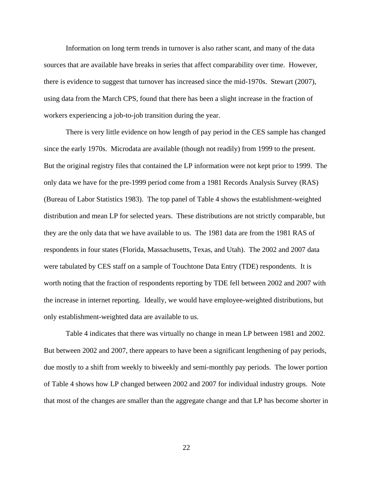Information on long term trends in turnover is also rather scant, and many of the data sources that are available have breaks in series that affect comparability over time. However, there is evidence to suggest that turnover has increased since the mid-1970s. Stewart (2007), using data from the March CPS, found that there has been a slight increase in the fraction of workers experiencing a job-to-job transition during the year.

There is very little evidence on how length of pay period in the CES sample has changed since the early 1970s. Microdata are available (though not readily) from 1999 to the present. But the original registry files that contained the LP information were not kept prior to 1999. The only data we have for the pre-1999 period come from a 1981 Records Analysis Survey (RAS) (Bureau of Labor Statistics 1983). The top panel of Table 4 shows the establishment-weighted distribution and mean LP for selected years. These distributions are not strictly comparable, but they are the only data that we have available to us. The 1981 data are from the 1981 RAS of respondents in four states (Florida, Massachusetts, Texas, and Utah). The 2002 and 2007 data were tabulated by CES staff on a sample of Touchtone Data Entry (TDE) respondents. It is worth noting that the fraction of respondents reporting by TDE fell between 2002 and 2007 with the increase in internet reporting. Ideally, we would have employee-weighted distributions, but only establishment-weighted data are available to us.

Table 4 indicates that there was virtually no change in mean LP between 1981 and 2002. But between 2002 and 2007, there appears to have been a significant lengthening of pay periods, due mostly to a shift from weekly to biweekly and semi-monthly pay periods. The lower portion of Table 4 shows how LP changed between 2002 and 2007 for individual industry groups. Note that most of the changes are smaller than the aggregate change and that LP has become shorter in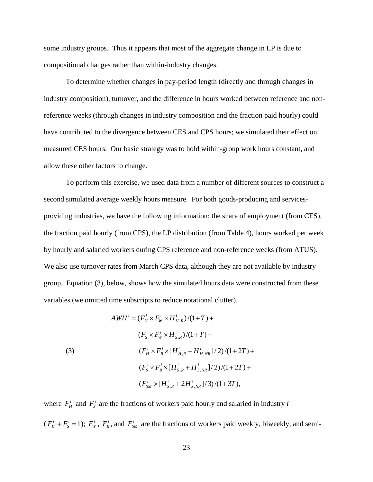some industry groups. Thus it appears that most of the aggregate change in LP is due to compositional changes rather than within-industry changes.

To determine whether changes in pay-period length (directly and through changes in industry composition), turnover, and the difference in hours worked between reference and nonreference weeks (through changes in industry composition and the fraction paid hourly) could have contributed to the divergence between CES and CPS hours; we simulated their effect on measured CES hours. Our basic strategy was to hold within-group work hours constant, and allow these other factors to change.

To perform this exercise, we used data from a number of different sources to construct a second simulated average weekly hours measure. For both goods-producing and servicesproviding industries, we have the following information: the share of employment (from CES), the fraction paid hourly (from CPS), the LP distribution (from Table 4), hours worked per week by hourly and salaried workers during CPS reference and non-reference weeks (from ATUS). We also use turnover rates from March CPS data, although they are not available by industry group. Equation (3), below, shows how the simulated hours data were constructed from these variables (we omitted time subscripts to reduce notational clutter).

(3)  
\n
$$
AWH^{i} = (F_{H}^{i} \times F_{W}^{i} \times H_{H,R}^{i})/(1+T) +
$$
\n
$$
(F_{S}^{i} \times F_{W}^{i} \times H_{S,R}^{i})/(1+T) +
$$
\n
$$
(F_{H}^{i} \times F_{B}^{i} \times [H_{H,R}^{i} + H_{H,NR}^{i}] / 2)/(1+2T) +
$$
\n
$$
(F_{S}^{i} \times F_{B}^{i} \times [H_{S,R}^{i} + H_{S,NR}^{i}] / 2)/(1+2T) +
$$
\n
$$
(F_{SM}^{i} \times [H_{S,R}^{i} + 2H_{S,NR}^{i}] / 3)/(1+3T),
$$

where  $F_H^i$  and  $F_S^i$  are the fractions of workers paid hourly and salaried in industry *i*  $(F_H^i + F_S^i) = 1$  $F_H^i + F_S^i = 1$ );  $F_W^i$ ,  $F_B^i$ , and  $F_{SM}^i$  are the fractions of workers paid weekly, biweekly, and semi-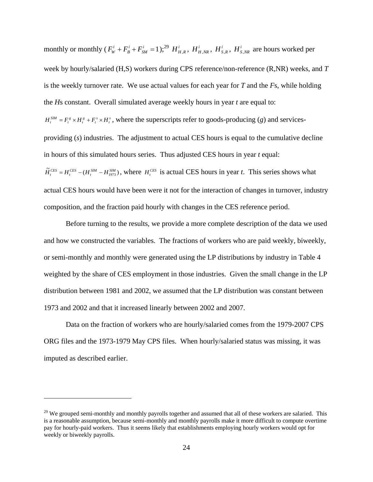monthly or monthly  $(F_w^i + F_B^i + F_{SM}^i = 1)$ *i B*  $F_w^i + F_B^i + F_{SM}^i = 1$ ;<sup>29</sup>  $H_{H,R}^i$ ,  $H_{H,NR}^i$ ,  $H_{S,R}^i$ ,  $H_{S,NR}^i$  are hours worked per week by hourly/salaried (H,S) workers during CPS reference/non-reference (R,NR) weeks, and *T* is the weekly turnover rate. We use actual values for each year for *T* and the *F*s, while holding the *H*s constant. Overall simulated average weekly hours in year *t* are equal to:  $H_t^{SIM} = F_t^s \times H_t^s + F_t^s \times H_t^s$ , where the superscripts refer to goods-producing (*g*) and servicesproviding (*s*) industries. The adjustment to actual CES hours is equal to the cumulative decline in hours of this simulated hours series. Thus adjusted CES hours in year *t* equal:  $\tilde{H}_{t}^{CES} = H_{t}^{CES} - (H_{t}^{SIM} - H_{1973}^{SIM})$ , where  $H_{t}^{CES}$  is actual CES hours in year *t*. This series shows what actual CES hours would have been were it not for the interaction of changes in turnover, industry composition, and the fraction paid hourly with changes in the CES reference period.

Before turning to the results, we provide a more complete description of the data we used and how we constructed the variables. The fractions of workers who are paid weekly, biweekly, or semi-monthly and monthly were generated using the LP distributions by industry in Table 4 weighted by the share of CES employment in those industries. Given the small change in the LP distribution between 1981 and 2002, we assumed that the LP distribution was constant between 1973 and 2002 and that it increased linearly between 2002 and 2007.

Data on the fraction of workers who are hourly/salaried comes from the 1979-2007 CPS ORG files and the 1973-1979 May CPS files. When hourly/salaried status was missing, it was imputed as described earlier.

 $29$  We grouped semi-monthly and monthly payrolls together and assumed that all of these workers are salaried. This is a reasonable assumption, because semi-monthly and monthly payrolls make it more difficult to compute overtime pay for hourly-paid workers. Thus it seems likely that establishments employing hourly workers would opt for weekly or biweekly payrolls.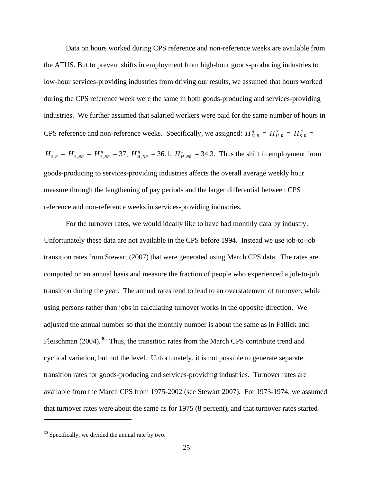Data on hours worked during CPS reference and non-reference weeks are available from the ATUS. But to prevent shifts in employment from high-hour goods-producing industries to low-hour services-providing industries from driving our results, we assumed that hours worked during the CPS reference week were the same in both goods-producing and services-providing industries. We further assumed that salaried workers were paid for the same number of hours in CPS reference and non-reference weeks. Specifically, we assigned:  $H_{H,R}^g = H_{H,R}^s = H_{S,R}^g =$ 

 $H_{S,R}^s = H_{S,NR}^s = H_{S,NR}^s = 37$ ,  $H_{H,NR}^s = 36.1$ ,  $H_{H,NR}^s = 34.3$ . Thus the shift in employment from goods-producing to services-providing industries affects the overall average weekly hour measure through the lengthening of pay periods and the larger differential between CPS reference and non-reference weeks in services-providing industries.

For the turnover rates, we would ideally like to have had monthly data by industry. Unfortunately these data are not available in the CPS before 1994. Instead we use job-to-job transition rates from Stewart (2007) that were generated using March CPS data. The rates are computed on an annual basis and measure the fraction of people who experienced a job-to-job transition during the year. The annual rates tend to lead to an overstatement of turnover, while using persons rather than jobs in calculating turnover works in the opposite direction. We adjusted the annual number so that the monthly number is about the same as in Fallick and Fleischman (2004).<sup>30</sup> Thus, the transition rates from the March CPS contribute trend and cyclical variation, but not the level. Unfortunately, it is not possible to generate separate transition rates for goods-producing and services-providing industries. Turnover rates are available from the March CPS from 1975-2002 (see Stewart 2007). For 1973-1974, we assumed that turnover rates were about the same as for 1975 (8 percent), and that turnover rates started

 $\overline{a}$ 

 $30$  Specifically, we divided the annual rate by two.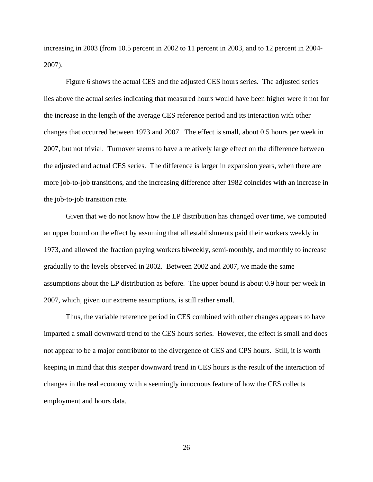increasing in 2003 (from 10.5 percent in 2002 to 11 percent in 2003, and to 12 percent in 2004- 2007).

Figure 6 shows the actual CES and the adjusted CES hours series. The adjusted series lies above the actual series indicating that measured hours would have been higher were it not for the increase in the length of the average CES reference period and its interaction with other changes that occurred between 1973 and 2007. The effect is small, about 0.5 hours per week in 2007, but not trivial. Turnover seems to have a relatively large effect on the difference between the adjusted and actual CES series. The difference is larger in expansion years, when there are more job-to-job transitions, and the increasing difference after 1982 coincides with an increase in the job-to-job transition rate.

Given that we do not know how the LP distribution has changed over time, we computed an upper bound on the effect by assuming that all establishments paid their workers weekly in 1973, and allowed the fraction paying workers biweekly, semi-monthly, and monthly to increase gradually to the levels observed in 2002. Between 2002 and 2007, we made the same assumptions about the LP distribution as before. The upper bound is about 0.9 hour per week in 2007, which, given our extreme assumptions, is still rather small.

Thus, the variable reference period in CES combined with other changes appears to have imparted a small downward trend to the CES hours series. However, the effect is small and does not appear to be a major contributor to the divergence of CES and CPS hours. Still, it is worth keeping in mind that this steeper downward trend in CES hours is the result of the interaction of changes in the real economy with a seemingly innocuous feature of how the CES collects employment and hours data.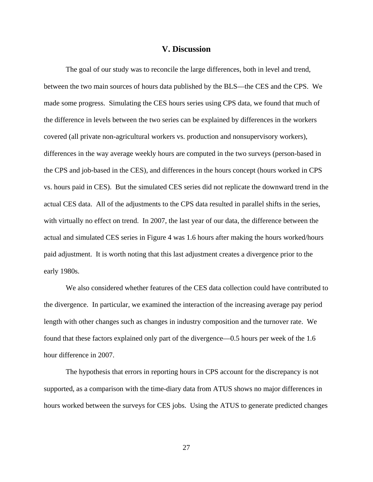#### **V. Discussion**

 The goal of our study was to reconcile the large differences, both in level and trend, between the two main sources of hours data published by the BLS—the CES and the CPS. We made some progress. Simulating the CES hours series using CPS data, we found that much of the difference in levels between the two series can be explained by differences in the workers covered (all private non-agricultural workers vs. production and nonsupervisory workers), differences in the way average weekly hours are computed in the two surveys (person-based in the CPS and job-based in the CES), and differences in the hours concept (hours worked in CPS vs. hours paid in CES). But the simulated CES series did not replicate the downward trend in the actual CES data. All of the adjustments to the CPS data resulted in parallel shifts in the series, with virtually no effect on trend. In 2007, the last year of our data, the difference between the actual and simulated CES series in Figure 4 was 1.6 hours after making the hours worked/hours paid adjustment. It is worth noting that this last adjustment creates a divergence prior to the early 1980s.

We also considered whether features of the CES data collection could have contributed to the divergence. In particular, we examined the interaction of the increasing average pay period length with other changes such as changes in industry composition and the turnover rate. We found that these factors explained only part of the divergence—0.5 hours per week of the 1.6 hour difference in 2007.

The hypothesis that errors in reporting hours in CPS account for the discrepancy is not supported, as a comparison with the time-diary data from ATUS shows no major differences in hours worked between the surveys for CES jobs. Using the ATUS to generate predicted changes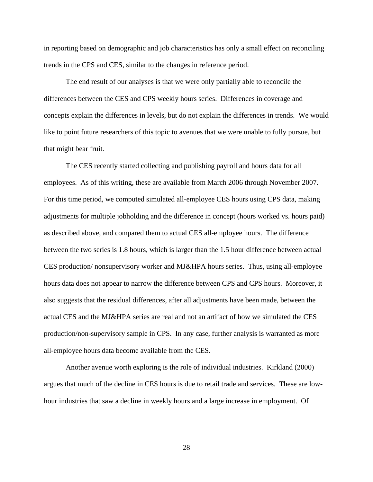in reporting based on demographic and job characteristics has only a small effect on reconciling trends in the CPS and CES, similar to the changes in reference period.

The end result of our analyses is that we were only partially able to reconcile the differences between the CES and CPS weekly hours series. Differences in coverage and concepts explain the differences in levels, but do not explain the differences in trends. We would like to point future researchers of this topic to avenues that we were unable to fully pursue, but that might bear fruit.

The CES recently started collecting and publishing payroll and hours data for all employees. As of this writing, these are available from March 2006 through November 2007. For this time period, we computed simulated all-employee CES hours using CPS data, making adjustments for multiple jobholding and the difference in concept (hours worked vs. hours paid) as described above, and compared them to actual CES all-employee hours. The difference between the two series is 1.8 hours, which is larger than the 1.5 hour difference between actual CES production/ nonsupervisory worker and MJ&HPA hours series. Thus, using all-employee hours data does not appear to narrow the difference between CPS and CPS hours. Moreover, it also suggests that the residual differences, after all adjustments have been made, between the actual CES and the MJ&HPA series are real and not an artifact of how we simulated the CES production/non-supervisory sample in CPS. In any case, further analysis is warranted as more all-employee hours data become available from the CES.

Another avenue worth exploring is the role of individual industries. Kirkland (2000) argues that much of the decline in CES hours is due to retail trade and services. These are lowhour industries that saw a decline in weekly hours and a large increase in employment. Of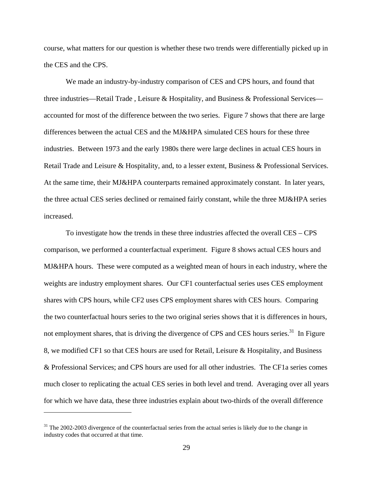course, what matters for our question is whether these two trends were differentially picked up in the CES and the CPS.

We made an industry-by-industry comparison of CES and CPS hours, and found that three industries—Retail Trade , Leisure & Hospitality, and Business & Professional Services accounted for most of the difference between the two series. Figure 7 shows that there are large differences between the actual CES and the MJ&HPA simulated CES hours for these three industries. Between 1973 and the early 1980s there were large declines in actual CES hours in Retail Trade and Leisure & Hospitality, and, to a lesser extent, Business & Professional Services. At the same time, their MJ&HPA counterparts remained approximately constant. In later years, the three actual CES series declined or remained fairly constant, while the three MJ&HPA series increased.

To investigate how the trends in these three industries affected the overall CES – CPS comparison, we performed a counterfactual experiment. Figure 8 shows actual CES hours and MJ&HPA hours. These were computed as a weighted mean of hours in each industry, where the weights are industry employment shares. Our CF1 counterfactual series uses CES employment shares with CPS hours, while CF2 uses CPS employment shares with CES hours. Comparing the two counterfactual hours series to the two original series shows that it is differences in hours, not employment shares, that is driving the divergence of CPS and CES hours series.<sup>31</sup> In Figure 8, we modified CF1 so that CES hours are used for Retail, Leisure & Hospitality, and Business & Professional Services; and CPS hours are used for all other industries. The CF1a series comes much closer to replicating the actual CES series in both level and trend. Averaging over all years for which we have data, these three industries explain about two-thirds of the overall difference

<sup>&</sup>lt;sup>31</sup> The 2002-2003 divergence of the counterfactual series from the actual series is likely due to the change in industry codes that occurred at that time.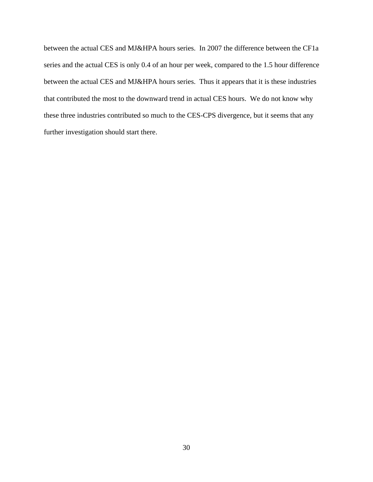between the actual CES and MJ&HPA hours series. In 2007 the difference between the CF1a series and the actual CES is only 0.4 of an hour per week, compared to the 1.5 hour difference between the actual CES and MJ&HPA hours series. Thus it appears that it is these industries that contributed the most to the downward trend in actual CES hours. We do not know why these three industries contributed so much to the CES-CPS divergence, but it seems that any further investigation should start there.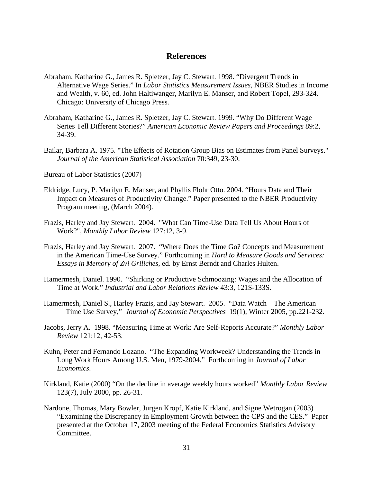### **References**

- Abraham, Katharine G., James R. Spletzer, Jay C. Stewart. 1998. "Divergent Trends in Alternative Wage Series." In *Labor Statistics Measurement Issues*, NBER Studies in Income and Wealth, v. 60, ed. John Haltiwanger, Marilyn E. Manser, and Robert Topel, 293-324. Chicago: University of Chicago Press.
- Abraham, Katharine G., James R. Spletzer, Jay C. Stewart. 1999. "Why Do Different Wage Series Tell Different Stories?" *American Economic Review Papers and Proceedings* 89:2, 34-39.
- Bailar, Barbara A. 1975. "The Effects of Rotation Group Bias on Estimates from Panel Surveys." *Journal of the American Statistical Association* 70:349, 23-30.

Bureau of Labor Statistics (2007)

- Eldridge, Lucy, P. Marilyn E. Manser, and Phyllis Flohr Otto. 2004. "Hours Data and Their Impact on Measures of Productivity Change." Paper presented to the NBER Productivity Program meeting, (March 2004).
- Frazis, Harley and Jay Stewart. 2004. "What Can Time-Use Data Tell Us About Hours of Work?", *Monthly Labor Review* 127:12, 3-9.
- Frazis, Harley and Jay Stewart. 2007. "Where Does the Time Go? Concepts and Measurement in the American Time-Use Survey." Forthcoming in *Hard to Measure Goods and Services: Essays in Memory of Zvi Griliches*, ed. by Ernst Berndt and Charles Hulten.
- Hamermesh, Daniel. 1990. "Shirking or Productive Schmoozing: Wages and the Allocation of Time at Work." *Industrial and Labor Relations Review* 43:3, 121S-133S.
- Hamermesh, Daniel S., Harley Frazis, and Jay Stewart. 2005. "Data Watch—The American Time Use Survey," *Journal of Economic Perspectives* 19(1), Winter 2005, pp.221-232.
- Jacobs, Jerry A. 1998. "Measuring Time at Work: Are Self-Reports Accurate?" *Monthly Labor Review* 121:12, 42-53.
- Kuhn, Peter and Fernando Lozano. "The Expanding Workweek? Understanding the Trends in Long Work Hours Among U.S. Men, 1979-2004." Forthcoming in *Journal of Labor Economics*.
- Kirkland, Katie (2000) "On the decline in average weekly hours worked" *Monthly Labor Review* 123(7), July 2000, pp. 26-31.
- Nardone, Thomas, Mary Bowler, Jurgen Kropf, Katie Kirkland, and Signe Wetrogan (2003) "Examining the Discrepancy in Employment Growth between the CPS and the CES." Paper presented at the October 17, 2003 meeting of the Federal Economics Statistics Advisory Committee.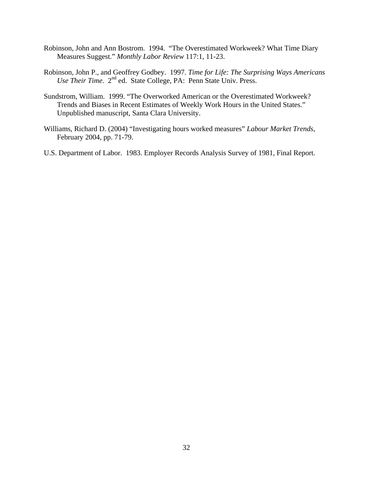- Robinson, John and Ann Bostrom. 1994. "The Overestimated Workweek? What Time Diary Measures Suggest." *Monthly Labor Review* 117:1, 11-23.
- Robinson, John P., and Geoffrey Godbey. 1997. *Time for Life: The Surprising Ways Americans Use Their Time.* 2<sup>nd</sup> ed. State College, PA: Penn State Univ. Press.
- Sundstrom, William. 1999. "The Overworked American or the Overestimated Workweek? Trends and Biases in Recent Estimates of Weekly Work Hours in the United States." Unpublished manuscript, Santa Clara University.
- Williams, Richard D. (2004) "Investigating hours worked measures" *Labour Market Trends*, February 2004, pp. 71-79.
- U.S. Department of Labor. 1983. Employer Records Analysis Survey of 1981, Final Report.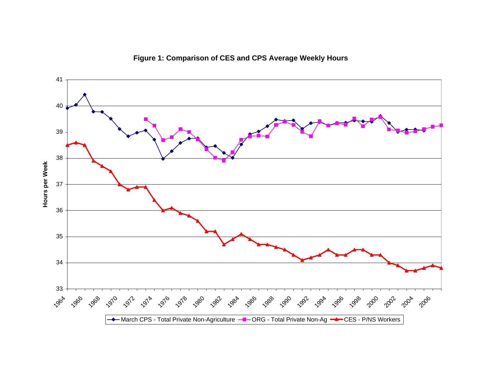

**Figure 1: Comparison of CES and CPS Average Weekly Hours**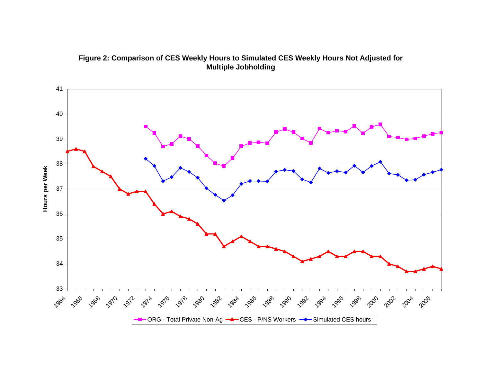

**Figure 2: Comparison of CES Weekly Hours to Simulated CES Weekly Hours Not Adjusted for Multiple Jobholding**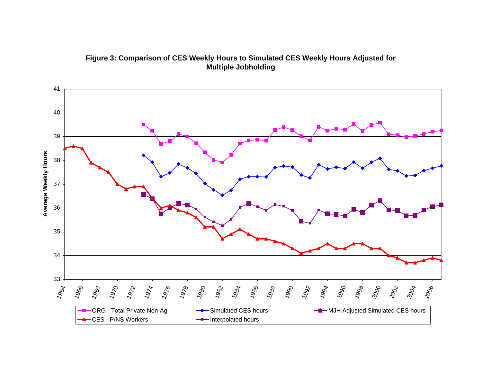

**Figure 3: Comparison of CES Weekly Hours to Simulated CES Weekly Hours Adjusted for Multiple Jobholding**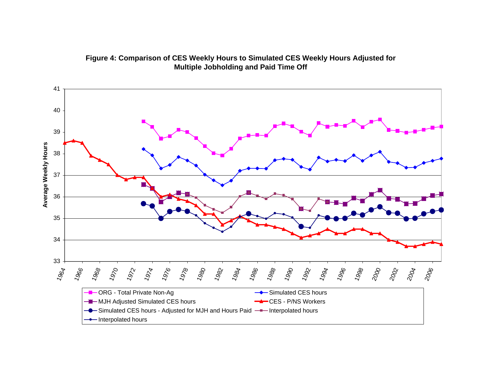

**Figure 4: Comparison of CES Weekly Hours to Simulated CES Weekly Hours Adjusted for Multiple Jobholding and Paid Time Off**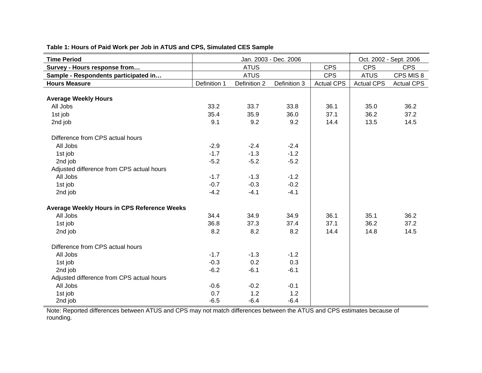| <b>Time Period</b>                          |              | Jan. 2003 - Dec. 2006 |              | Oct. 2002 - Sept. 2006 |                   |                   |
|---------------------------------------------|--------------|-----------------------|--------------|------------------------|-------------------|-------------------|
| Survey - Hours response from                |              | <b>ATUS</b>           |              | <b>CPS</b>             | <b>CPS</b>        | <b>CPS</b>        |
| Sample - Respondents participated in        |              | <b>ATUS</b>           |              | <b>CPS</b>             | <b>ATUS</b>       | CPS MIS 8         |
| <b>Hours Measure</b>                        | Definition 1 | Definition 2          | Definition 3 | <b>Actual CPS</b>      | <b>Actual CPS</b> | <b>Actual CPS</b> |
|                                             |              |                       |              |                        |                   |                   |
| <b>Average Weekly Hours</b>                 |              |                       |              |                        |                   |                   |
| All Jobs                                    | 33.2         | 33.7                  | 33.8         | 36.1                   | 35.0              | 36.2              |
| 1st job                                     | 35.4         | 35.9                  | 36.0         | 37.1                   | 36.2              | 37.2              |
| 2nd job                                     | 9.1          | 9.2                   | 9.2          | 14.4                   | 13.5              | 14.5              |
| Difference from CPS actual hours            |              |                       |              |                        |                   |                   |
| All Jobs                                    | $-2.9$       | $-2.4$                | $-2.4$       |                        |                   |                   |
| 1st job                                     | $-1.7$       | $-1.3$                | $-1.2$       |                        |                   |                   |
| 2nd job                                     | $-5.2$       | $-5.2$                | $-5.2$       |                        |                   |                   |
| Adjusted difference from CPS actual hours   |              |                       |              |                        |                   |                   |
| All Jobs                                    | $-1.7$       | $-1.3$                | $-1.2$       |                        |                   |                   |
| 1st job                                     | $-0.7$       | $-0.3$                | $-0.2$       |                        |                   |                   |
| 2nd job                                     | $-4.2$       | $-4.1$                | $-4.1$       |                        |                   |                   |
| Average Weekly Hours in CPS Reference Weeks |              |                       |              |                        |                   |                   |
| All Jobs                                    | 34.4         | 34.9                  | 34.9         | 36.1                   | 35.1              | 36.2              |
| 1st job                                     | 36.8         | 37.3                  | 37.4         | 37.1                   | 36.2              | 37.2              |
| 2nd job                                     | 8.2          | 8.2                   | 8.2          | 14.4                   | 14.8              | 14.5              |
| Difference from CPS actual hours            |              |                       |              |                        |                   |                   |
| All Jobs                                    | $-1.7$       | $-1.3$                | $-1.2$       |                        |                   |                   |
| 1st job                                     | $-0.3$       | 0.2                   | 0.3          |                        |                   |                   |
| 2nd job                                     | $-6.2$       | $-6.1$                | $-6.1$       |                        |                   |                   |
| Adjusted difference from CPS actual hours   |              |                       |              |                        |                   |                   |
| All Jobs                                    | $-0.6$       | $-0.2$                | $-0.1$       |                        |                   |                   |
| 1st job                                     | 0.7          | 1.2                   | 1.2          |                        |                   |                   |
| 2nd job                                     | $-6.5$       | $-6.4$                | $-6.4$       |                        |                   |                   |

**Table 1: Hours of Paid Work per Job in ATUS and CPS, Simulated CES Sample**

Note: Reported differences between ATUS and CPS may not match differences between the ATUS and CPS estimates because of rounding.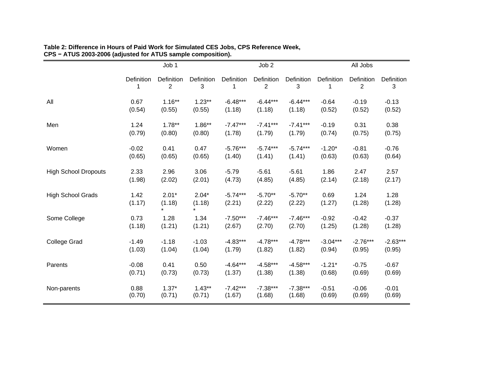|                             | Job 1           |                              |                   | Job 2                |                     | All Jobs            |                |                              |                 |
|-----------------------------|-----------------|------------------------------|-------------------|----------------------|---------------------|---------------------|----------------|------------------------------|-----------------|
|                             | Definition<br>1 | Definition<br>$\overline{2}$ | Definition<br>3   | Definition<br>1      | Definition<br>2     | Definition<br>3     | Definition     | Definition<br>$\overline{2}$ | Definition<br>3 |
| All                         | 0.67            | $1.16***$                    | $1.23**$          | $-6.48***$           | $-6.44***$          | $-6.44***$          | $-0.64$        | $-0.19$                      | $-0.13$         |
|                             | (0.54)          | (0.55)                       | (0.55)            | (1.18)               | (1.18)              | (1.18)              | (0.52)         | (0.52)                       | (0.52)          |
| Men                         | 1.24            | $1.78***$                    | $1.86**$          | $-7.47***$           | $-7.41***$          | $-7.41***$          | $-0.19$        | 0.31                         | 0.38            |
|                             | (0.79)          | (0.80)                       | (0.80)            | (1.78)               | (1.79)              | (1.79)              | (0.74)         | (0.75)                       | (0.75)          |
| Women                       | $-0.02$         | 0.41                         | 0.47              | $-5.76***$           | $-5.74***$          | $-5.74***$          | $-1.20*$       | $-0.81$                      | $-0.76$         |
|                             | (0.65)          | (0.65)                       | (0.65)            | (1.40)               | (1.41)              | (1.41)              | (0.63)         | (0.63)                       | (0.64)          |
| <b>High School Dropouts</b> | 2.33            | 2.96                         | 3.06              | $-5.79$              | $-5.61$             | $-5.61$             | 1.86           | 2.47                         | 2.57            |
|                             | (1.98)          | (2.02)                       | (2.01)            | (4.73)               | (4.85)              | (4.85)              | (2.14)         | (2.18)                       | (2.17)          |
| <b>High School Grads</b>    | 1.42<br>(1.17)  | $2.01*$<br>(1.18)<br>$\star$ | $2.04*$<br>(1.18) | $-5.74***$<br>(2.21) | $-5.70**$<br>(2.22) | $-5.70**$<br>(2.22) | 0.69<br>(1.27) | 1.24<br>(1.28)               | 1.28<br>(1.28)  |
| Some College                | 0.73            | 1.28                         | 1.34              | $-7.50***$           | $-7.46***$          | $-7.46***$          | $-0.92$        | $-0.42$                      | $-0.37$         |
|                             | (1.18)          | (1.21)                       | (1.21)            | (2.67)               | (2.70)              | (2.70)              | (1.25)         | (1.28)                       | (1.28)          |
| <b>College Grad</b>         | $-1.49$         | $-1.18$                      | $-1.03$           | $-4.83***$           | $-4.78***$          | $-4.78***$          | $-3.04***$     | $-2.76***$                   | $-2.63***$      |
|                             | (1.03)          | (1.04)                       | (1.04)            | (1.79)               | (1.82)              | (1.82)              | (0.94)         | (0.95)                       | (0.95)          |
| Parents                     | $-0.08$         | 0.41                         | 0.50              | $-4.64***$           | $-4.58***$          | $-4.58***$          | $-1.21*$       | $-0.75$                      | $-0.67$         |
|                             | (0.71)          | (0.73)                       | (0.73)            | (1.37)               | (1.38)              | (1.38)              | (0.68)         | (0.69)                       | (0.69)          |
| Non-parents                 | 0.88            | $1.37*$                      | $1.43**$          | $-7.42***$           | $-7.38***$          | $-7.38***$          | $-0.51$        | $-0.06$                      | $-0.01$         |
|                             | (0.70)          | (0.71)                       | (0.71)            | (1.67)               | (1.68)              | (1.68)              | (0.69)         | (0.69)                       | (0.69)          |

#### **Table 2: Difference in Hours of Paid Work for Simulated CES Jobs, CPS Reference Week, CPS <sup>−</sup> ATUS 2003-2006 (adjusted for ATUS sample composition).**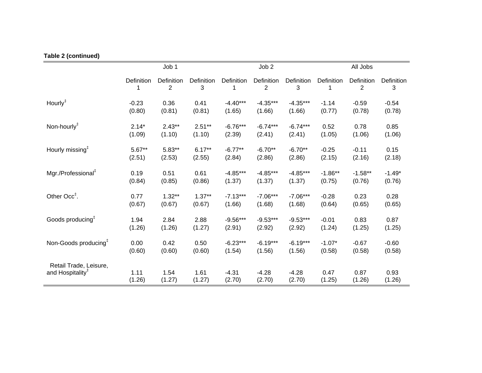## **Table 2 (continued)**

|                                  | Job 1      |                 |                 |            | Job <sub>2</sub> |                 | All Jobs   |                              |                 |  |
|----------------------------------|------------|-----------------|-----------------|------------|------------------|-----------------|------------|------------------------------|-----------------|--|
|                                  | Definition | Definition<br>2 | Definition<br>3 | Definition | Definition<br>2  | Definition<br>3 | Definition | Definition<br>$\overline{2}$ | Definition<br>3 |  |
| Hourly <sup>‡</sup>              | $-0.23$    | 0.36            | 0.41            | $-4.40***$ | $-4.35***$       | $-4.35***$      | $-1.14$    | $-0.59$                      | $-0.54$         |  |
|                                  | (0.80)     | (0.81)          | (0.81)          | (1.65)     | (1.66)           | (1.66)          | (0.77)     | (0.78)                       | (0.78)          |  |
| Non-hourly <sup>#</sup>          | $2.14*$    | $2.43**$        | $2.51**$        | $-6.76***$ | $-6.74***$       | $-6.74***$      | 0.52       | 0.78                         | 0.85            |  |
|                                  | (1.09)     | (1.10)          | (1.10)          | (2.39)     | (2.41)           | (2.41)          | (1.05)     | (1.06)                       | (1.06)          |  |
| Hourly missing <sup>#</sup>      | $5.67**$   | $5.83**$        | $6.17**$        | $-6.77**$  | $-6.70**$        | $-6.70**$       | $-0.25$    | $-0.11$                      | 0.15            |  |
|                                  | (2.51)     | (2.53)          | (2.55)          | (2.84)     | (2.86)           | (2.86)          | (2.15)     | (2.16)                       | (2.18)          |  |
| Mgr./Professional <sup>#</sup>   | 0.19       | 0.51            | 0.61            | $-4.85***$ | $-4.85***$       | $-4.85***$      | $-1.86**$  | $-1.58**$                    | $-1.49*$        |  |
|                                  | (0.84)     | (0.85)          | (0.86)          | (1.37)     | (1.37)           | (1.37)          | (0.75)     | (0.76)                       | (0.76)          |  |
| Other Occ <sup>#</sup> .         | 0.77       | $1.32**$        | $1.37**$        | $-7.13***$ | $-7.06***$       | $-7.06***$      | $-0.28$    | 0.23                         | 0.28            |  |
|                                  | (0.67)     | (0.67)          | (0.67)          | (1.66)     | (1.68)           | (1.68)          | (0.64)     | (0.65)                       | (0.65)          |  |
| Goods producing <sup>#</sup>     | 1.94       | 2.84            | 2.88            | $-9.56***$ | $-9.53***$       | $-9.53***$      | $-0.01$    | 0.83                         | 0.87            |  |
|                                  | (1.26)     | (1.26)          | (1.27)          | (2.91)     | (2.92)           | (2.92)          | (1.24)     | (1.25)                       | (1.25)          |  |
| Non-Goods producing <sup>#</sup> | 0.00       | 0.42            | 0.50            | $-6.23***$ | $-6.19***$       | $-6.19***$      | $-1.07*$   | $-0.67$                      | $-0.60$         |  |
|                                  | (0.60)     | (0.60)          | (0.60)          | (1.54)     | (1.56)           | (1.56)          | (0.58)     | (0.58)                       | (0.58)          |  |
| Retail Trade, Leisure,           | 1.11       | 1.54            | 1.61            | $-4.31$    | $-4.28$          | $-4.28$         | 0.47       | 0.87                         | 0.93            |  |
| and Hospitality <sup>™</sup>     | (1.26)     | (1.27)          | (1.27)          | (2.70)     | (2.70)           | (2.70)          | (1.25)     | (1.26)                       | (1.26)          |  |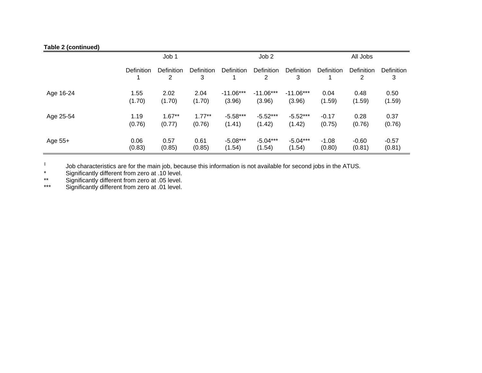## **Table 2 (continued)**

|           | Job 1      |                                     |                        | Job <sub>2</sub>  |                 |                 | All Jobs   |                 |                 |
|-----------|------------|-------------------------------------|------------------------|-------------------|-----------------|-----------------|------------|-----------------|-----------------|
|           | Definition | <b>Definition</b><br>$\overline{2}$ | <b>Definition</b><br>3 | <b>Definition</b> | Definition<br>2 | Definition<br>3 | Definition | Definition<br>2 | Definition<br>3 |
| Age 16-24 | 1.55       | 2.02                                | 2.04                   | $-11.06***$       | $-11.06***$     | $-11.06***$     | 0.04       | 0.48            | 0.50            |
|           | (1.70)     | (1.70)                              | (1.70)                 | (3.96)            | (3.96)          | (3.96)          | (1.59)     | (1.59)          | (1.59)          |
| Age 25-54 | 1.19       | $1.67**$                            | $1.77***$              | $-5.58***$        | $-5.52***$      | $-5.52***$      | $-0.17$    | 0.28            | 0.37            |
|           | (0.76)     | (0.77)                              | (0.76)                 | (1.41)            | (1.42)          | (1.42)          | (0.75)     | (0.76)          | (0.76)          |
| Age 55+   | 0.06       | 0.57                                | 0.61                   | $-5.08***$        | $-5.04***$      | $-5.04***$      | $-1.08$    | $-0.60$         | $-0.57$         |
|           | (0.83)     | (0.85)                              | (0.85)                 | (1.54)            | (1.54)          | (1.54)          | (0.80)     | (0.81)          | (0.81)          |

‡ Job characteristics are for the main job, because this information is not available for second jobs in the ATUS.

\* Significantly different from zero at .10 level.

\*\* Significantly different from zero at .05 level.

\*\*\* Significantly different from zero at .01 level.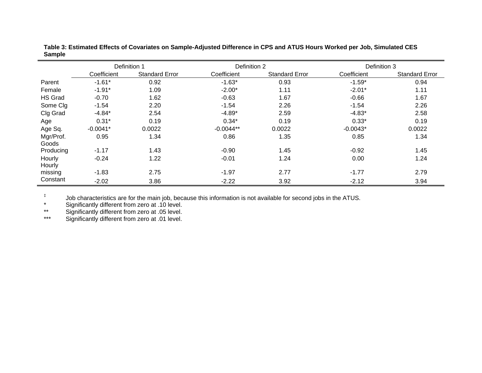|                | Definition 1 |                       | Definition 2 |                       | Definition 3 |                       |  |
|----------------|--------------|-----------------------|--------------|-----------------------|--------------|-----------------------|--|
|                | Coefficient  | <b>Standard Error</b> | Coefficient  | <b>Standard Error</b> | Coefficient  | <b>Standard Error</b> |  |
| Parent         | $-1.61*$     | 0.92                  | $-1.63*$     | 0.93                  | $-1.59*$     | 0.94                  |  |
| Female         | $-1.91*$     | 1.09                  | $-2.00*$     | 1.11                  | $-2.01*$     | 1.11                  |  |
| <b>HS Grad</b> | $-0.70$      | 1.62                  | $-0.63$      | 1.67                  | $-0.66$      | 1.67                  |  |
| Some Clg       | $-1.54$      | 2.20                  | $-1.54$      | 2.26                  | $-1.54$      | 2.26                  |  |
| Clg Grad       | $-4.84*$     | 2.54                  | $-4.89*$     | 2.59                  | $-4.83*$     | 2.58                  |  |
| Age            | $0.31*$      | 0.19                  | $0.34*$      | 0.19                  | $0.33*$      | 0.19                  |  |
| Age Sq.        | $-0.0041*$   | 0.0022                | $-0.0044**$  | 0.0022                | $-0.0043*$   | 0.0022                |  |
| Mgr/Prof.      | 0.95         | 1.34                  | 0.86         | 1.35                  | 0.85         | 1.34                  |  |
| Goods          |              |                       |              |                       |              |                       |  |
| Producing      | $-1.17$      | 1.43                  | $-0.90$      | 1.45                  | $-0.92$      | 1.45                  |  |
| Hourly         | $-0.24$      | 1.22                  | $-0.01$      | 1.24                  | 0.00         | 1.24                  |  |
| Hourly         |              |                       |              |                       |              |                       |  |
| missing        | $-1.83$      | 2.75                  | $-1.97$      | 2.77                  | $-1.77$      | 2.79                  |  |
| Constant       | $-2.02$      | 3.86                  | $-2.22$      | 3.92                  | $-2.12$      | 3.94                  |  |

**Table 3: Estimated Effects of Covariates on Sample-Adjusted Difference in CPS and ATUS Hours Worked per Job, Simulated CES Sample** 

‡ Job characteristics are for the main job, because this information is not available for second jobs in the ATUS.

\* Significantly different from zero at .10 level.

\*\* Significantly different from zero at .05 level.

\*\*\* Significantly different from zero at .01 level.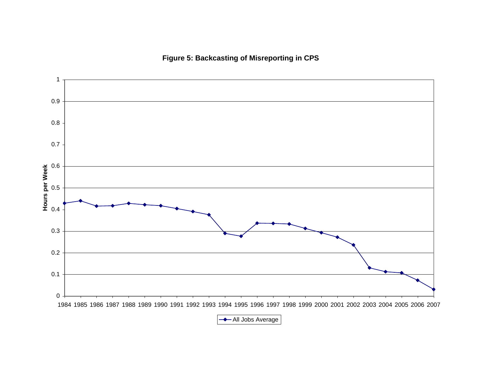# **Figure 5: Backcasting of Misreporting in CPS**

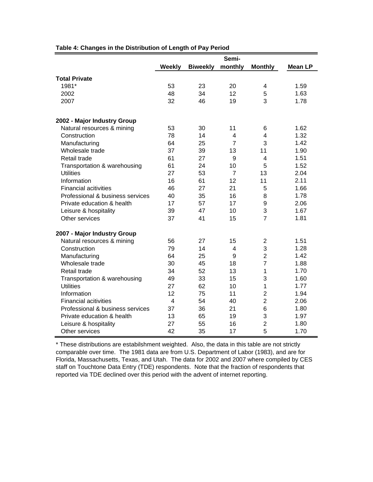|                                  | Semi-         |                 |                |                |                |  |  |
|----------------------------------|---------------|-----------------|----------------|----------------|----------------|--|--|
|                                  | <b>Weekly</b> | <b>Biweekly</b> | monthly        | <b>Monthly</b> | <b>Mean LP</b> |  |  |
| <b>Total Private</b>             |               |                 |                |                |                |  |  |
| 1981*                            | 53            | 23              | 20             | 4              | 1.59           |  |  |
| 2002                             | 48            | 34              | 12             | 5              | 1.63           |  |  |
| 2007                             | 32            | 46              | 19             | 3              | 1.78           |  |  |
| 2002 - Major Industry Group      |               |                 |                |                |                |  |  |
| Natural resources & mining       | 53            | 30              | 11             | 6              | 1.62           |  |  |
| Construction                     | 78            | 14              | 4              | 4              | 1.32           |  |  |
| Manufacturing                    | 64            | 25              | $\overline{7}$ | 3              | 1.42           |  |  |
| Wholesale trade                  | 37            | 39              | 13             | 11             | 1.90           |  |  |
| Retail trade                     | 61            | 27              | 9              | 4              | 1.51           |  |  |
| Transportation & warehousing     | 61            | 24              | 10             | 5              | 1.52           |  |  |
| <b>Utilities</b>                 | 27            | 53              | $\overline{7}$ | 13             | 2.04           |  |  |
| Information                      | 16            | 61              | 12             | 11             | 2.11           |  |  |
| <b>Financial acitivities</b>     | 46            | 27              | 21             | 5              | 1.66           |  |  |
| Professional & business services | 40            | 35              | 16             | 8              | 1.78           |  |  |
| Private education & health       | 17            | 57              | 17             | 9              | 2.06           |  |  |
| Leisure & hospitality            | 39            | 47              | 10             | 3              | 1.67           |  |  |
| Other services                   | 37            | 41              | 15             | $\overline{7}$ | 1.81           |  |  |
| 2007 - Major Industry Group      |               |                 |                |                |                |  |  |
| Natural resources & mining       | 56            | 27              | 15             | 2              | 1.51           |  |  |
| Construction                     | 79            | 14              | 4              | 3              | 1.28           |  |  |
| Manufacturing                    | 64            | 25              | 9              | $\overline{2}$ | 1.42           |  |  |
| Wholesale trade                  | 30            | 45              | 18             | $\overline{7}$ | 1.88           |  |  |
| Retail trade                     | 34            | 52              | 13             | 1              | 1.70           |  |  |
| Transportation & warehousing     | 49            | 33              | 15             | 3              | 1.60           |  |  |
| <b>Utilities</b>                 | 27            | 62              | 10             | 1              | 1.77           |  |  |
| Information                      | 12            | 75              | 11             | $\overline{2}$ | 1.94           |  |  |
| <b>Financial acitivities</b>     | 4             | 54              | 40             | $\overline{2}$ | 2.06           |  |  |
| Professional & business services | 37            | 36              | 21             | 6              | 1.80           |  |  |
| Private education & health       | 13            | 65              | 19             | 3              | 1.97           |  |  |
| Leisure & hospitality            | 27            | 55              | 16             | $\overline{2}$ | 1.80           |  |  |
| Other services                   | 42            | 35              | 17             | 5              | 1.70           |  |  |

#### **Table 4: Changes in the Distribution of Length of Pay Period**

\* These distributions are estabilshment weighted. Also, the data in this table are not strictly comparable over time. The 1981 data are from U.S. Department of Labor (1983), and are for Florida, Massachusetts, Texas, and Utah. The data for 2002 and 2007 where compiled by CES staff on Touchtone Data Entry (TDE) respondents. Note that the fraction of respondents that reported via TDE declined over this period with the advent of internet reporting.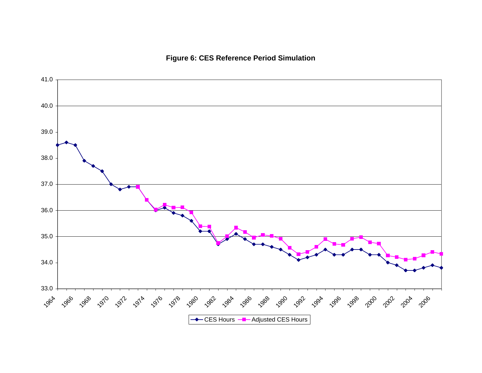# **Figure 6: CES Reference Period Simulation**

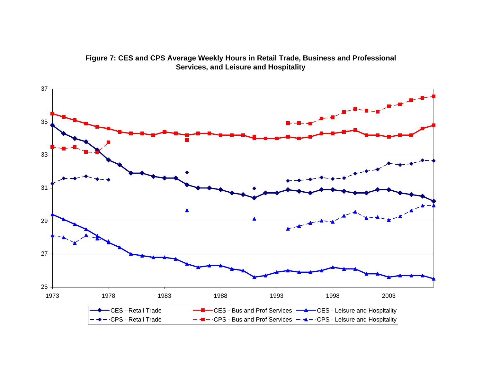

**Figure 7: CES and CPS Average Weekly Hours in Retail Trade, Business and Professional Services, and Leisure and Hospitality**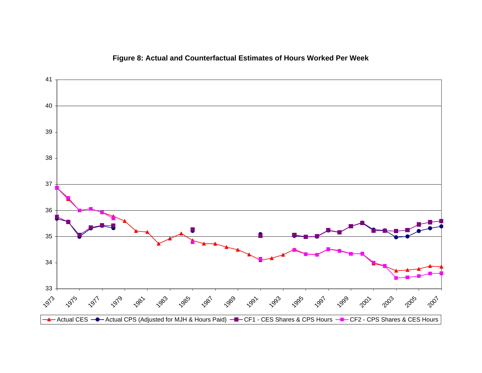

## **Figure 8: Actual and Counterfactual Estimates of Hours Worked Per Week**